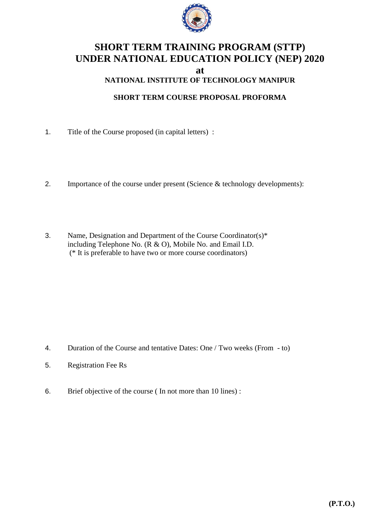

## **SHORT TERM TRAINING PROGRAM (STTP) UNDER NATIONAL EDUCATION POLICY (NEP) 2020**

**at**

## **NATIONAL INSTITUTE OF TECHNOLOGY MANIPUR**

## **SHORT TERM COURSE PROPOSAL PROFORMA**

- 1. Title of the Course proposed (in capital letters) :
- 2. Importance of the course under present (Science & technology developments):
- 3. Name, Designation and Department of the Course Coordinator(s)\* including Telephone No. (R & O), Mobile No. and Email I.D. (\* It is preferable to have two or more course coordinators)

- 4. Duration of the Course and tentative Dates: One / Two weeks (From to)
- 5. Registration Fee Rs
- 6. Brief objective of the course ( In not more than 10 lines) :